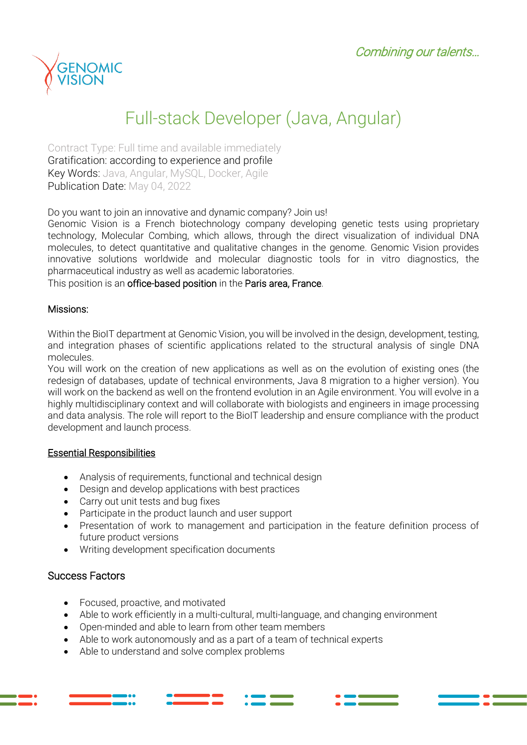

# Full-stack Developer (Java, Angular)

Contract Type: Full time and available immediately Gratification: according to experience and profile Key Words: Java, Angular, MySQL, Docker, Agile Publication Date: May 04, 2022

Do you want to join an innovative and dynamic company? Join us!

Genomic Vision is a French biotechnology company developing genetic tests using proprietary technology, Molecular Combing, which allows, through the direct visualization of individual DNA molecules, to detect quantitative and qualitative changes in the genome. Genomic Vision provides innovative solutions worldwide and molecular diagnostic tools for in vitro diagnostics, the pharmaceutical industry as well as academic laboratories.

This position is an office-based position in the Paris area, France.

#### Missions:

Within the BioIT department at Genomic Vision, you will be involved in the design, development, testing, and integration phases of scientific applications related to the structural analysis of single DNA molecules.

You will work on the creation of new applications as well as on the evolution of existing ones (the redesign of databases, update of technical environments, Java 8 migration to a higher version). You will work on the backend as well on the frontend evolution in an Agile environment. You will evolve in a highly multidisciplinary context and will collaborate with biologists and engineers in image processing and data analysis. The role will report to the BioIT leadership and ensure compliance with the product development and launch process.

#### Essential Responsibilities

- Analysis of requirements, functional and technical design
- Design and develop applications with best practices
- Carry out unit tests and bug fixes
- Participate in the product launch and user support
- Presentation of work to management and participation in the feature definition process of future product versions
- Writing development specification documents

### Success Factors

- Focused, proactive, and motivated
- Able to work efficiently in a multi-cultural, multi-language, and changing environment
- Open-minded and able to learn from other team members
- Able to work autonomously and as a part of a team of technical experts
- Able to understand and solve complex problems